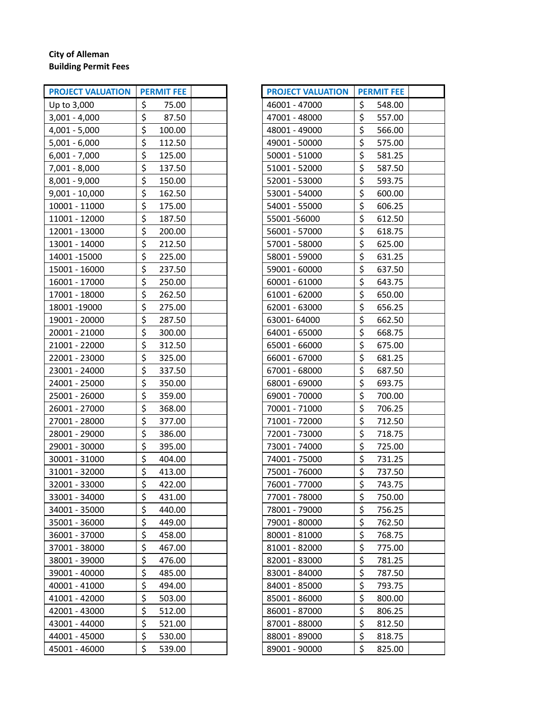## **City of Alleman Building Permit Fees**

| <b>PROJECT VALUATION</b> | <b>PERMIT FEE</b> |  | <b>PROJECT VALUATION</b> | <b>PERMIT FEE</b> |
|--------------------------|-------------------|--|--------------------------|-------------------|
| Up to 3,000              | \$<br>75.00       |  | 46001 - 47000            | \$<br>548.00      |
| $3,001 - 4,000$          | \$<br>87.50       |  | 47001 - 48000            | \$<br>557.00      |
| $4,001 - 5,000$          | \$<br>100.00      |  | 48001 - 49000            | \$<br>566.00      |
| $5,001 - 6,000$          | \$<br>112.50      |  | 49001 - 50000            | \$<br>575.00      |
| $6,001 - 7,000$          | \$<br>125.00      |  | 50001 - 51000            | \$<br>581.25      |
| $7,001 - 8,000$          | \$<br>137.50      |  | 51001 - 52000            | \$<br>587.50      |
| $8,001 - 9,000$          | \$<br>150.00      |  | 52001 - 53000            | \$<br>593.75      |
| $9,001 - 10,000$         | \$<br>162.50      |  | 53001 - 54000            | \$<br>600.00      |
| 10001 - 11000            | \$<br>175.00      |  | 54001 - 55000            | \$<br>606.25      |
| 11001 - 12000            | \$<br>187.50      |  | 55001-56000              | \$<br>612.50      |
| 12001 - 13000            | \$<br>200.00      |  | 56001 - 57000            | \$<br>618.75      |
| 13001 - 14000            | \$<br>212.50      |  | 57001 - 58000            | \$<br>625.00      |
| 14001 - 15000            | \$<br>225.00      |  | 58001 - 59000            | \$<br>631.25      |
| 15001 - 16000            | \$<br>237.50      |  | 59001 - 60000            | \$<br>637.50      |
| 16001 - 17000            | \$<br>250.00      |  | 60001 - 61000            | \$<br>643.75      |
| 17001 - 18000            | \$<br>262.50      |  | 61001 - 62000            | \$<br>650.00      |
| 18001-19000              | \$<br>275.00      |  | 62001 - 63000            | \$<br>656.25      |
| 19001 - 20000            | \$<br>287.50      |  | 63001-64000              | \$<br>662.50      |
| 20001 - 21000            | \$<br>300.00      |  | 64001 - 65000            | \$<br>668.75      |
| 21001 - 22000            | \$<br>312.50      |  | 65001 - 66000            | \$<br>675.00      |
| 22001 - 23000            | \$<br>325.00      |  | 66001 - 67000            | \$<br>681.25      |
| 23001 - 24000            | \$<br>337.50      |  | 67001 - 68000            | \$<br>687.50      |
| 24001 - 25000            | \$<br>350.00      |  | 68001 - 69000            | \$<br>693.75      |
| 25001 - 26000            | \$<br>359.00      |  | 69001 - 70000            | \$<br>700.00      |
| 26001 - 27000            | \$<br>368.00      |  | 70001 - 71000            | \$<br>706.25      |
| 27001 - 28000            | \$<br>377.00      |  | 71001 - 72000            | \$<br>712.50      |
| 28001 - 29000            | \$<br>386.00      |  | 72001 - 73000            | \$<br>718.75      |
| 29001 - 30000            | \$<br>395.00      |  | 73001 - 74000            | \$<br>725.00      |
| 30001 - 31000            | \$<br>404.00      |  | 74001 - 75000            | \$<br>731.25      |
| 31001 - 32000            | \$<br>413.00      |  | 75001 - 76000            | \$<br>737.50      |
| 32001 - 33000            | \$<br>422.00      |  | 76001 - 77000            | \$<br>743.75      |
| 33001 - 34000            | \$<br>431.00      |  | 77001 - 78000            | \$<br>750.00      |
| 34001 - 35000            | \$<br>440.00      |  | 78001 - 79000            | \$<br>756.25      |
| 35001 - 36000            | \$<br>449.00      |  | 79001 - 80000            | \$<br>762.50      |
| 36001 - 37000            | \$<br>458.00      |  | 80001 - 81000            | \$<br>768.75      |
| 37001 - 38000            | \$<br>467.00      |  | 81001 - 82000            | \$<br>775.00      |
| 38001 - 39000            | \$<br>476.00      |  | 82001 - 83000            | \$<br>781.25      |
| 39001 - 40000            | \$<br>485.00      |  | 83001 - 84000            | \$<br>787.50      |
| 40001 - 41000            | \$<br>494.00      |  | 84001 - 85000            | \$<br>793.75      |
| 41001 - 42000            | \$<br>503.00      |  | 85001 - 86000            | \$<br>800.00      |
| 42001 - 43000            | \$<br>512.00      |  | 86001 - 87000            | \$<br>806.25      |
| 43001 - 44000            | \$<br>521.00      |  | 87001 - 88000            | \$<br>812.50      |
| 44001 - 45000            | \$<br>530.00      |  | 88001 - 89000            | \$<br>818.75      |
| 45001 - 46000            | \$<br>539.00      |  | 89001 - 90000            | \$<br>825.00      |

| <b>PROJECT VALUATION</b> | <b>PERMIT FEE</b>       |  |
|--------------------------|-------------------------|--|
| 46001 - 47000            | \$<br>548.00            |  |
| 47001 - 48000            | \$<br>557.00            |  |
| 48001 - 49000            | \$<br>566.00            |  |
| 49001 - 50000            | \$<br>575.00            |  |
| 50001 - 51000            | \$<br>581.25            |  |
| 51001 - 52000            | \$<br>587.50            |  |
| 52001 - 53000            | \$<br>593.75            |  |
| 53001 - 54000            | \$<br>600.00            |  |
| 54001 - 55000            | \$<br>606.25            |  |
| 55001-56000              | \$<br>612.50            |  |
| 56001 - 57000            | \$<br>618.75            |  |
| 57001 - 58000            | \$<br>625.00            |  |
| 58001 - 59000            | \$<br>631.25            |  |
| 59001 - 60000            | \$<br>637.50            |  |
| 60001 - 61000            | \$<br>643.75            |  |
| 61001 - 62000            | \$<br>650.00            |  |
| 62001 - 63000            | \$<br>656.25            |  |
| 63001-64000              | \$<br>662.50            |  |
| 64001 - 65000            | \$<br>668.75            |  |
| 65001 - 66000            | \$<br>675.00            |  |
| 66001 - 67000            | \$<br>681.25            |  |
| 67001 - 68000            | \$<br>687.50            |  |
| 68001 - 69000            | \$<br>693.75            |  |
| 69001 - 70000            | \$<br>700.00            |  |
| 70001 - 71000            | \$<br>706.25            |  |
| 71001 - 72000            | \$<br>712.50            |  |
| 72001 - 73000            | \$<br>718.75            |  |
| 73001 - 74000            | \$<br>725.00            |  |
| 74001 - 75000            | \$<br>731.25            |  |
| 75001 - 76000            | \$<br>737.50            |  |
| 76001 - 77000            | ۸<br>743.75<br>Ş        |  |
| 77001 - 78000            | \$<br>750.00            |  |
| 78001 - 79000            | \$<br>756.25            |  |
| 79001 - 80000            | $\frac{1}{2}$<br>762.50 |  |
| 80001 - 81000            | \$<br>768.75            |  |
| 81001 - 82000            | \$<br>775.00            |  |
| 82001 - 83000            | \$<br>781.25            |  |
| 83001 - 84000            | \$<br>787.50            |  |
| 84001 - 85000            | \$<br>793.75            |  |
| 85001 - 86000            | \$<br>800.00            |  |
| 86001 - 87000            | \$<br>806.25            |  |
| 87001 - 88000            | \$<br>812.50            |  |
| 88001 - 89000            | \$<br>818.75            |  |
| 89001 - 90000            | \$<br>825.00            |  |